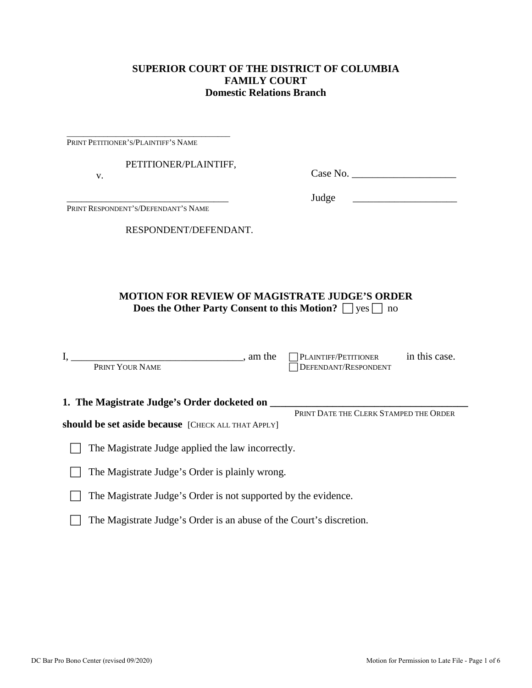## **SUPERIOR COURT OF THE DISTRICT OF COLUMBIA FAMILY COURT Domestic Relations Branch**

PRINT PETITIONER'S/PLAINTIFF'S NAME

\_\_\_\_\_\_\_\_\_\_\_\_\_\_\_\_\_\_\_\_\_\_\_\_\_\_\_\_\_\_\_\_\_\_\_\_\_\_\_\_

PETITIONER/PLAINTIFF,

v.

Case No. \_\_\_\_\_\_\_\_\_\_\_\_\_\_\_\_\_\_\_\_

Judge \_\_\_\_\_\_\_\_\_\_\_\_\_\_\_\_\_\_\_\_

\_\_\_\_\_\_\_\_\_\_\_\_\_\_\_\_\_\_\_\_\_\_\_\_\_\_\_\_\_\_\_\_\_ PRINT RESPONDENT'S/DEFENDANT'S NAME

RESPONDENT/DEFENDANT.

## **MOTION FOR REVIEW OF MAGISTRATE JUDGE'S ORDER Does the Other Party Consent to this Motion?**  $\Box$  yes  $\Box$  no

| am the<br>PRINT YOUR NAME                                      | PLAINTIFF/PETITIONER<br>DEFENDANT/RESPONDENT | in this case. |
|----------------------------------------------------------------|----------------------------------------------|---------------|
| 1. The Magistrate Judge's Order docketed on                    |                                              |               |
|                                                                | PRINT DATE THE CLERK STAMPED THE ORDER       |               |
| should be set aside because [CHECK ALL THAT APPLY]             |                                              |               |
| The Magistrate Judge applied the law incorrectly.              |                                              |               |
| The Magistrate Judge's Order is plainly wrong.                 |                                              |               |
| The Magistrate Judge's Order is not supported by the evidence. |                                              |               |

The Magistrate Judge's Order is an abuse of the Court's discretion.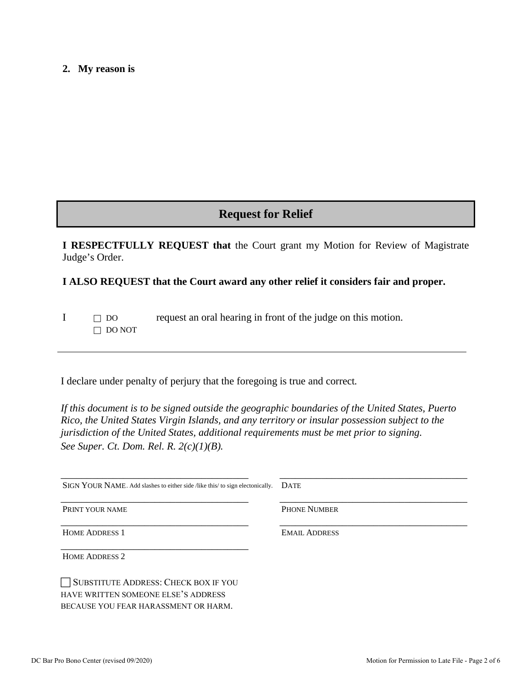#### **2. My reason is**

# **Request for Relief**

**I RESPECTFULLY REQUEST that** the Court grant my Motion for Review of Magistrate Judge's Order.

### **I ALSO REQUEST that the Court award any other relief it considers fair and proper.**

 $I \Box$  DO request an oral hearing in front of the judge on this motion. DO NOT

I declare under penalty of perjury that the foregoing is true and correct*.* 

*If this document is to be signed outside the geographic boundaries of the United States, Puerto Rico, the United States Virgin Islands, and any territory or insular possession subject to the jurisdiction of the United States, additional requirements must be met prior to signing. See Super. Ct. Dom. Rel. R. 2(c)(1)(B).*

| SIGN YOUR NAME. Add slashes to either side /like this/ to sign electonically. | <b>DATE</b>          |
|-------------------------------------------------------------------------------|----------------------|
| PRINT YOUR NAME                                                               | <b>PHONE NUMBER</b>  |
| <b>HOME ADDRESS 1</b>                                                         | <b>EMAIL ADDRESS</b> |
| <b>HOME ADDRESS 2</b>                                                         |                      |
| SUBSTITUTE ADDRESS: CHECK BOX IF YOU                                          |                      |
| HAVE WRITTEN SOMEONE ELSE'S ADDRESS                                           |                      |
| BECAUSE YOU FEAR HARASSMENT OR HARM.                                          |                      |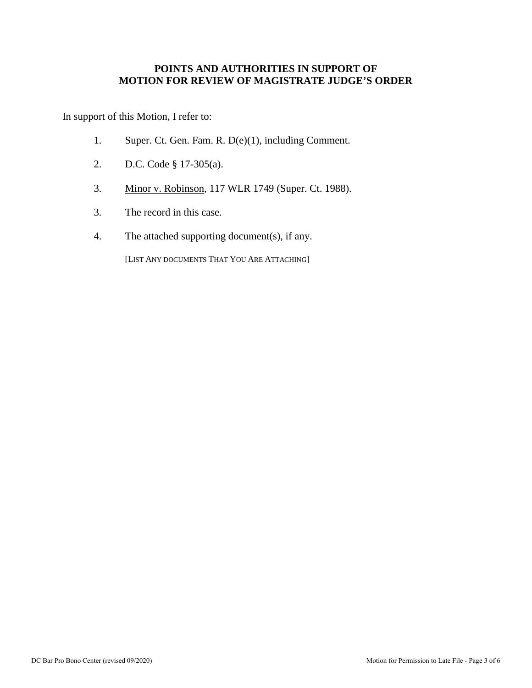## **POINTS AND AUTHORITIES IN SUPPORT OF MOTION FOR REVIEW OF MAGISTRATE JUDGE'S ORDER**

In support of this Motion, I refer to:

- 1. Super. Ct. Gen. Fam. R. D(e)(1), including Comment.
- 2. D.C. Code § 17-305(a).
- 3. Minor v. Robinson, 117 WLR 1749 (Super. Ct. 1988).
- 3. The record in this case.
- 4. The attached supporting document(s), if any.

[LIST ANY DOCUMENTS THAT YOU ARE ATTACHING]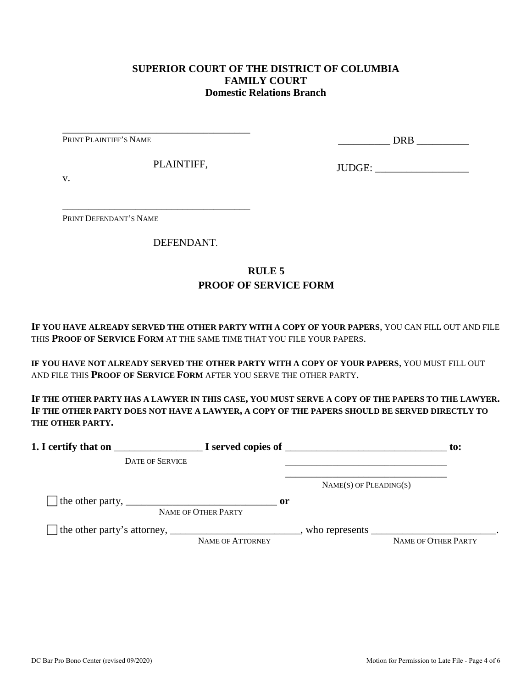## **SUPERIOR COURT OF THE DISTRICT OF COLUMBIA FAMILY COURT Domestic Relations Branch**

PRINT PLAINTIFF'S NAME

\_\_\_\_\_\_\_\_\_\_ DRB \_\_\_\_\_\_\_\_\_\_

PLAINTIFF,

\_\_\_\_\_\_\_\_\_\_\_\_\_\_\_\_\_\_\_\_\_\_\_\_\_\_\_\_\_\_\_\_\_\_\_\_

\_\_\_\_\_\_\_\_\_\_\_\_\_\_\_\_\_\_\_\_\_\_\_\_\_\_\_\_\_\_\_\_\_\_\_\_

JUDGE: \_\_\_\_\_\_\_\_\_\_\_\_\_\_\_\_\_\_

v.

PRINT DEFENDANT'S NAME

DEFENDANT.

## **RULE 5 PROOF OF SERVICE FORM**

**IF YOU HAVE ALREADY SERVED THE OTHER PARTY WITH A COPY OF YOUR PAPERS**, YOU CAN FILL OUT AND FILE THIS **PROOF OF SERVICE FORM** AT THE SAME TIME THAT YOU FILE YOUR PAPERS.

**IF YOU HAVE NOT ALREADY SERVED THE OTHER PARTY WITH A COPY OF YOUR PAPERS**, YOU MUST FILL OUT AND FILE THIS **PROOF OF SERVICE FORM** AFTER YOU SERVE THE OTHER PARTY.

**IF THE OTHER PARTY HAS A LAWYER IN THIS CASE, YOU MUST SERVE A COPY OF THE PAPERS TO THE LAWYER. IF THE OTHER PARTY DOES NOT HAVE A LAWYER, A COPY OF THE PAPERS SHOULD BE SERVED DIRECTLY TO THE OTHER PARTY.** 

| 1. I certify that on                                                                                      |                                      | $\blacksquare$ $\blacksquare$ I served copies of $\blacksquare$ | $\mathbf{to}$ :     |
|-----------------------------------------------------------------------------------------------------------|--------------------------------------|-----------------------------------------------------------------|---------------------|
| <b>DATE OF SERVICE</b>                                                                                    |                                      |                                                                 |                     |
|                                                                                                           |                                      | $NAME(S)$ OF PLEADING(S)                                        |                     |
| The other party, $\frac{1}{\sqrt{1-\frac{1}{2}}}\left\lfloor \frac{1}{2}\right\rfloor$                    | $\mathbf{or}$<br>NAME OF OTHER PARTY |                                                                 |                     |
| The other party's attorney, _______________________________, who represents ____________________________. | NAME OF ATTORNEY                     |                                                                 | NAME OF OTHER PARTY |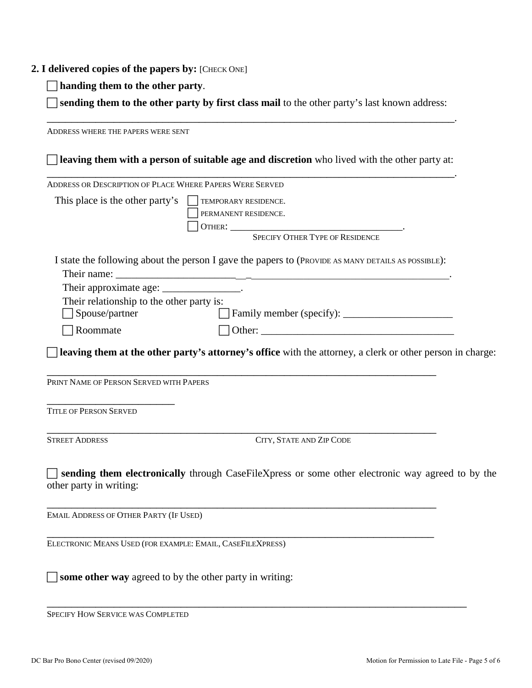### **2. I delivered copies of the papers by:** [CHECK ONE]

**handing them to the other party**.

 **sending them to the other party by first class mail** to the other party's last known address: \_\_\_\_\_\_\_\_\_\_\_\_\_\_\_\_\_\_\_\_\_\_\_\_\_\_\_\_\_\_\_\_\_\_\_\_\_\_\_\_\_\_\_\_\_\_\_\_\_\_\_\_\_\_\_\_\_\_\_\_\_\_\_\_\_\_\_.

ADDRESS WHERE THE PAPERS WERE SENT **leaving them with a person of suitable age and discretion** who lived with the other party at: \_\_\_\_\_\_\_\_\_\_\_\_\_\_\_\_\_\_\_\_\_\_\_\_\_\_\_\_\_\_\_\_\_\_\_\_\_\_\_\_\_\_\_\_\_\_\_\_\_\_\_\_\_\_\_\_\_\_\_\_\_\_\_\_\_\_\_. ADDRESS OR DESCRIPTION OF PLACE WHERE PAPERS WERE SERVED This place is the other party's  $\Box$  TEMPORARY RESIDENCE. PERMANENT RESIDENCE. OTHER: \_\_\_\_\_\_\_\_\_\_\_\_\_\_\_\_\_\_\_\_\_\_\_\_\_\_\_\_\_\_\_\_\_. SPECIFY OTHER TYPE OF RESIDENCE I state the following about the person I gave the papers to (PROVIDE AS MANY DETAILS AS POSSIBLE): Their name: Their approximate age: \_\_\_\_\_\_\_\_\_\_\_\_\_\_\_\_. Their relationship to the other party is: Spouse/partner Family member (specify): \_\_\_\_\_\_\_\_\_\_\_\_\_\_\_\_\_\_\_\_\_  $\Box$  Roommate  $\Box$  Other: **leaving them at the other party's attorney's office** with the attorney, a clerk or other person in charge: \_\_\_\_\_\_\_\_\_\_\_\_\_\_\_\_\_\_\_\_\_\_\_\_\_\_\_\_\_\_\_\_\_\_\_\_\_\_\_\_\_\_\_\_\_\_\_\_\_\_\_\_\_\_\_\_\_\_\_\_\_\_\_\_ PRINT NAME OF PERSON SERVED WITH PAPERS \_\_\_\_\_\_\_\_\_\_\_\_\_\_\_\_\_\_\_\_\_ TITLE OF PERSON SERVED \_\_\_\_\_\_\_\_\_\_\_\_\_\_\_\_\_\_\_\_\_\_\_\_\_\_\_\_\_\_\_\_\_\_\_\_\_\_\_\_\_\_\_\_\_\_\_\_\_\_\_\_\_\_\_\_\_\_\_\_\_\_\_\_ STREET ADDRESS CITY, STATE AND ZIP CODE **sending them electronically** through CaseFileXpress or some other electronic way agreed to by the other party in writing: \_\_\_\_\_\_\_\_\_\_\_\_\_\_\_\_\_\_\_\_\_\_\_\_\_\_\_\_\_\_\_\_\_\_\_\_\_\_\_\_\_\_\_\_\_\_\_\_\_\_\_\_\_\_\_\_\_\_\_\_\_\_\_\_ EMAIL ADDRESS OF OTHER PARTY (IF USED) \_\_\_\_\_\_\_\_\_\_\_\_\_\_\_\_\_\_\_\_\_\_\_\_\_\_\_\_\_\_\_\_\_\_\_\_\_\_\_\_\_\_\_\_\_\_\_\_\_\_\_\_\_\_\_\_\_\_\_\_\_\_\_\_ ELECTRONIC MEANS USED (FOR EXAMPLE: EMAIL, CASEFILEXPRESS) **some other way** agreed to by the other party in writing:

\_\_\_\_\_\_\_\_\_\_\_\_\_\_\_\_\_\_\_\_\_\_\_\_\_\_\_\_\_\_\_\_\_\_\_\_\_\_\_\_\_\_\_\_\_\_\_\_\_\_\_\_\_\_\_\_\_\_\_\_\_\_\_\_\_\_\_\_\_ SPECIFY HOW SERVICE WAS COMPLETED